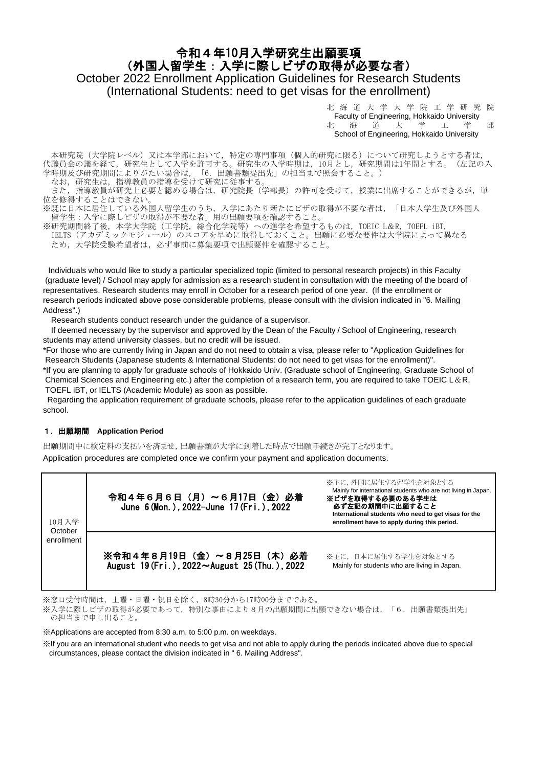# 令和4年10月入学研究生出願要項 (外国人留学生:入学に際しビザの取得が必要な者) October 2022 Enrollment Application Guidelines for Research Students (International Students: need to get visas for the enrollment)

北 海 道 大 学 大 学 院 工 学 研 究 院 **Faculty of Engineering, Hokkaido University**<br>北 海 道 大 学 工 学 大 学 工 学 部 School of Engineering, Hokkaido University

 本研究院(大学院レベル)又は本学部において,特定の専門事項(個人的研究に限る)について研究しようとする者は, 代議員会の議を経て,研究生として入学を許可する。研究生の入学時期は,10月とし,研究期間は1年間とする。(左記の入 学時期及び研究期間によりがたい場合は,「6.出願書類提出先」の担当まで照会すること。)

なお,研究生は,指導教員の指導を受けて研究に従事する。

また、指導教員が研究上必要と認める場合は、研究院長(学部長)の許可を受けて、授業に出席することができるが、単 位を修得することはできない。

※既に日本に居住している外国人留学生のうち,入学にあたり新たにビザの取得が不要な者は,「日本人学生及び外国人 留学生:入学に際しビザの取得が不要な者」用の出願要項を確認すること。

※研究期間終了後,本学大学院(工学院,総合化学院等)への進学を希望するものは,TOEIC L&R, TOEFL iBT, IELTS (アカデミックモジュール)のスコアを早めに取得しておくこと。出願に必要な要件は大学院によって異なる ため,大学院受験希望者は,必ず事前に募集要項で出願要件を確認すること。

Individuals who would like to study a particular specialized topic (limited to personal research projects) in this Faculty (graduate level) / School may apply for admission as a research student in consultation with the meeting of the board of representatives. Research students may enroll in October for a research period of one year. (If the enrollment or research periods indicated above pose considerable problems, please consult with the division indicated in "6. Mailing Address")

Research students conduct research under the guidance of a supervisor.

If deemed necessary by the supervisor and approved by the Dean of the Faculty / School of Engineering, research students may attend university classes, but no credit will be issued.

\*For those who are currently living in Japan and do not need to obtain a visa, please refer to "Application Guidelines for Research Students (Japanese students & International Students: do not need to get visas for the enrollment)".

\*If you are planning to apply for graduate schools of Hokkaido Univ. (Graduate school of Engineering, Graduate School of Chemical Sciences and Engineering etc.) after the completion of a research term, you are required to take TOEIC L &R, TOEFL iBT, or IELTS (Academic Module) as soon as possible.

 Regarding the application requirement of graduate schools, please refer to the application guidelines of each graduate school.

#### 1.出願期間 **Application Period**

Application procedures are completed once we confirm your payment and application documents. 出願期間中に検定料の支払いを済ませ,出願書類が大学に到着した時点で出願手続きが完了となります。

| 10月入学<br>October<br>enrollment | 令和4年6月6日(月)~6月17日(金)必着<br>June 6 (Mon.), 2022-June 17 (Fri.), 2022        | ※主に、外国に居住する留学生を対象とする<br>Mainly for international students who are not living in Japan.<br>※ビザを取得する必要のある学生は<br>必ず左記の期間中に出願すること<br>International students who need to get visas for the<br>enrollment have to apply during this period. |
|--------------------------------|---------------------------------------------------------------------------|---------------------------------------------------------------------------------------------------------------------------------------------------------------------------------------------------------------------------------------|
|                                | ※令和4年8月19日(金)~8月25日(木)必着<br>August 19 (Fri.), 2022~August 25 (Thu.). 2022 | ※主に、日本に居住する学生を対象とする<br>Mainly for students who are living in Japan.                                                                                                                                                                   |

※窓口受付時間は,土曜・日曜・祝日を除く,8時30分から17時00分までである。

※入学に際しビザの取得が必要であって,特別な事由により8月の出願期間に出願できない場合は,「6.出願書類提出先」 の担当まで申し出ること。

#### ※Applications are accepted from 8:30 a.m. to 5:00 p.m. on weekdays.

※If you are an international student who needs to get visa and not able to apply during the periods indicated above due to special circumstances, please contact the division indicated in " 6. Mailing Address".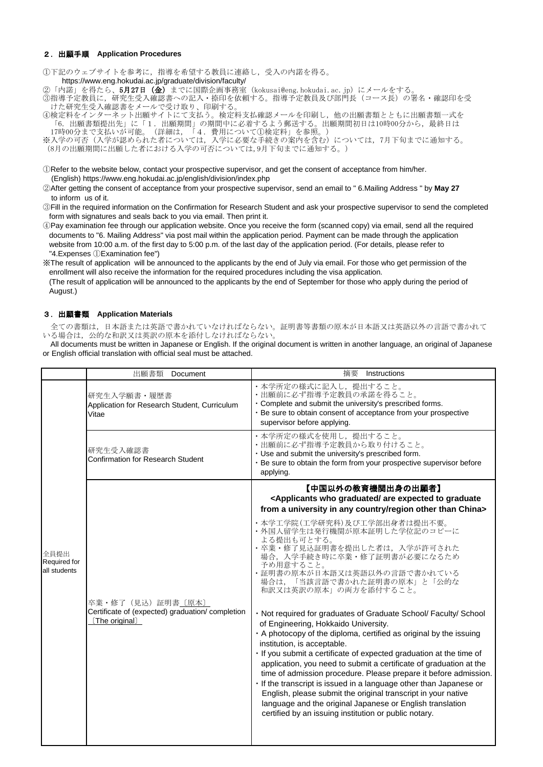#### 2.出願手順 **Application Procedures**

①下記のウェブサイトを参考に,指導を希望する教員に連絡し,受入の内諾を得る。

https://www.eng.hokudai.ac.jp/graduate/division/faculty/

②「内諾」を得たら、5月27日 (金) までに国際企画事務室 (kokusai@eng.hokudai.ac.jp) にメールをする。

③指導予定教員に,研究生受入確認書への記入・捺印を依頼する。指導予定教員及び部門長(コース長)の署名・確認印を受 けた研究生受入確認書をメールで受け取り、印刷する。

④検定料をインターネット出願サイトにて支払う。検定料支払確認メールを印刷し,他の出願書類とともに出願書類一式を 「6.出願書類提出先」に「1.出願期間」の期間中に必着するよう郵送する。出願期間初日は10時00分から,最終日は 17時00分まで支払いが可能。(詳細は,「4.費用について①検定料」を参照。)

※入学の可否(入学が認められた者については、入学に必要な手続きの案内を含む)については、7月下旬までに通知する。 (8月の出願期間に出願した者における入学の可否については,9月下旬までに通知する。)

①Refer to the website below, contact your prospective supervisor, and get the consent of acceptance from him/her. (English) https://www.eng.hokudai.ac.jp/english/division/index.php

②After getting the consent of acceptance from your prospective supervisor, send an email to " 6.Mailing Address " by **May 27** to inform us of it.

③Fill in the required information on the Confirmation for Research Student and ask your prospective supervisor to send the completed form with signatures and seals back to you via email. Then print it.

④Pay examination fee through our application website. Once you receive the form (scanned copy) via email, send all the required documents to "6. Mailing Address" via post mail within the application period. Payment can be made through the application website from 10:00 a.m. of the first day to 5:00 p.m. of the last day of the application period. (For details, please refer to "4.Expenses ①Examination fee")

※The result of application will be announced to the applicants by the end of July via email. For those who get permission of the enrollment will also receive the information for the required procedures including the visa application.

 (The result of application will be announced to the applicants by the end of September for those who apply during the period of August.)

#### 3.出願書類 **Application Materials**

 全ての書類は,日本語または英語で書かれていなければならない。証明書等書類の原本が日本語又は英語以外の言語で書かれて いる場合は,公的な和訳又は英訳の原本を添付しなければならない。

All documents must be written in Japanese or English. If the original document is written in another language, an original of Japanese or English official translation with official seal must be attached.

|                                      | 出願書類<br>Document                                                                         | 摘要<br>Instructions                                                                                                                                                                                                                                                                                                                                                                                                                                                                                                                                                                                                                                                                          |
|--------------------------------------|------------------------------------------------------------------------------------------|---------------------------------------------------------------------------------------------------------------------------------------------------------------------------------------------------------------------------------------------------------------------------------------------------------------------------------------------------------------------------------------------------------------------------------------------------------------------------------------------------------------------------------------------------------------------------------------------------------------------------------------------------------------------------------------------|
| 全員提出<br>Required for<br>all students | 研究生入学願書・履歴書<br>Application for Research Student, Curriculum<br>Vitae                     | •本学所定の様式に記入し、提出すること。<br>• 出願前に必ず指導予定教員の承諾を得ること。<br>. Complete and submit the university's prescribed forms.<br>. Be sure to obtain consent of acceptance from your prospective<br>supervisor before applying.                                                                                                                                                                                                                                                                                                                                                                                                                                                                               |
|                                      | 研究生受入確認書<br><b>Confirmation for Research Student</b>                                     | •本学所定の様式を使用し、提出すること。<br>・出願前に必ず指導予定教員から取り付けること。<br>· Use and submit the university's prescribed form.<br>· Be sure to obtain the form from your prospective supervisor before<br>applying.                                                                                                                                                                                                                                                                                                                                                                                                                                                                                                  |
|                                      |                                                                                          | 【中国以外の教育機関出身の出願者】<br><applicants are="" expected="" graduate<br="" graduated="" to="" who="">from a university in any country/region other than China&gt;</applicants>                                                                                                                                                                                                                                                                                                                                                                                                                                                                                                                      |
|                                      | 卒業・修了 (見込) 証明書〔原本〕<br>Certificate of (expected) graduation/ completion<br>(The original) | ・本学工学院(工学研究科)及び工学部出身者は提出不要。<br>・外国人留学生は発行機関が原本証明した学位記のコピーに<br>よる提出も可とする。<br>・卒業・修了見込証明書を提出した者は、入学が許可された<br>場合、入学手続き時に卒業・修了証明書が必要になるため<br>予め用意すること。<br>・証明書の原本が日本語又は英語以外の言語で書かれている<br>「当該言語で書かれた証明書の原本」と「公的な<br>場合は,<br>和訳又は英訳の原本」の両方を添付すること。                                                                                                                                                                                                                                                                                                                                                                                                                                                |
|                                      |                                                                                          | . Not required for graduates of Graduate School/ Faculty/ School<br>of Engineering, Hokkaido University.<br>. A photocopy of the diploma, certified as original by the issuing<br>institution, is acceptable.<br>· If you submit a certificate of expected graduation at the time of<br>application, you need to submit a certificate of graduation at the<br>time of admission procedure. Please prepare it before admission.<br>. If the transcript is issued in a language other than Japanese or<br>English, please submit the original transcript in your native<br>language and the original Japanese or English translation<br>certified by an issuing institution or public notary. |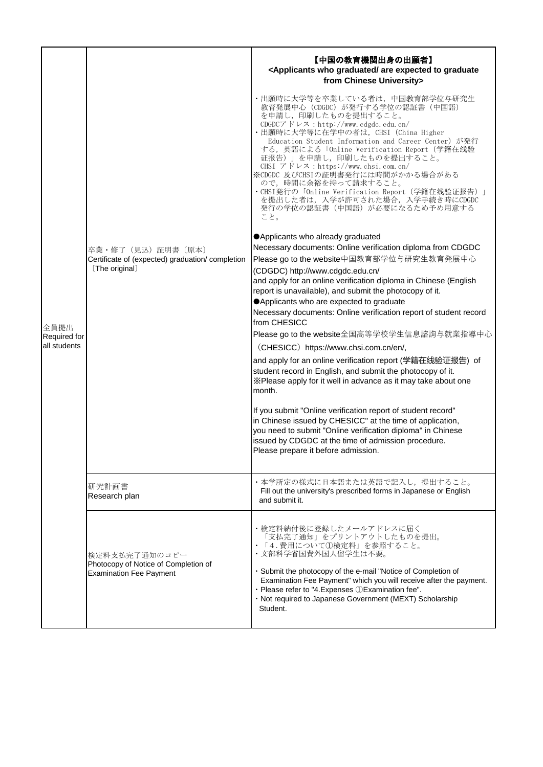|              |                                                                                         | 【中国の教育機関出身の出願者】<br><applicants are="" expected="" graduate<br="" graduated="" to="" who="">from Chinese University&gt;</applicants>                                                                                                                                                                                                                                                                                                                                                                                                                                            |
|--------------|-----------------------------------------------------------------------------------------|--------------------------------------------------------------------------------------------------------------------------------------------------------------------------------------------------------------------------------------------------------------------------------------------------------------------------------------------------------------------------------------------------------------------------------------------------------------------------------------------------------------------------------------------------------------------------------|
|              |                                                                                         | ・出願時に大学等を卒業している者は,中国教育部学位与研究生<br>教育発展中心 (CDGDC) が発行する学位の認証書 (中国語)<br>を申請し、印刷したものを提出すること。<br>CDGDCアドレス: http://www.cdgdc.edu.cn/<br>・出願時に大学等に在学中の者は、CHSI (China Higher<br>Education Student Information and Career Center) が発行<br>する, 英語による「Online Verification Report(学籍在线验<br>证报告)」を申請し、印刷したものを提出すること。<br>CHSI $\mathcal{T}$ $\mathcal{F} \cup \mathcal{F}$ : https://www.chsi.com.cn/<br>※CDGDC 及びCHSIの証明書発行には時間がかかる場合がある<br>ので、時間に余裕を持って請求すること。<br>・CHSI発行の「Online Verification Report(学籍在线验证报告)」<br>を提出した者は、入学が許可された場合、入学手続き時にCDGDC<br>発行の学位の認証書(中国語)が必要になるため予め用意する<br>こと。 |
|              |                                                                                         | ● Applicants who already graduated<br>Necessary documents: Online verification diploma from CDGDC                                                                                                                                                                                                                                                                                                                                                                                                                                                                              |
|              | 卒業・修了 (見込) 証明書 〔原本〕<br>Certificate of (expected) graduation/ completion                 | Please go to the website中国教育部学位与研究生教育発展中心                                                                                                                                                                                                                                                                                                                                                                                                                                                                                                                                      |
|              | [The original]                                                                          | (CDGDC) http://www.cdgdc.edu.cn/                                                                                                                                                                                                                                                                                                                                                                                                                                                                                                                                               |
|              |                                                                                         | and apply for an online verification diploma in Chinese (English<br>report is unavailable), and submit the photocopy of it.                                                                                                                                                                                                                                                                                                                                                                                                                                                    |
|              |                                                                                         | Applicants who are expected to graduate                                                                                                                                                                                                                                                                                                                                                                                                                                                                                                                                        |
| 全員提出         |                                                                                         | Necessary documents: Online verification report of student record<br>from CHESICC                                                                                                                                                                                                                                                                                                                                                                                                                                                                                              |
| Required for |                                                                                         | Please go to the website全国高等学校学生信息諮詢与就業指導中心                                                                                                                                                                                                                                                                                                                                                                                                                                                                                                                                    |
| all students |                                                                                         | (CHESICC) https://www.chsi.com.cn/en/,                                                                                                                                                                                                                                                                                                                                                                                                                                                                                                                                         |
|              |                                                                                         | and apply for an online verification report (学籍在线验证报告) of<br>student record in English, and submit the photocopy of it.<br>X Please apply for it well in advance as it may take about one<br>month.                                                                                                                                                                                                                                                                                                                                                                            |
|              |                                                                                         | If you submit "Online verification report of student record"<br>in Chinese issued by CHESICC" at the time of application,<br>you need to submit "Online verification diploma" in Chinese<br>issued by CDGDC at the time of admission procedure.<br>Please prepare it before admission.                                                                                                                                                                                                                                                                                         |
|              | 研究計画書<br>Research plan                                                                  | ・本学所定の様式に日本語または英語で記入し、提出すること。<br>Fill out the university's prescribed forms in Japanese or English<br>and submit it.                                                                                                                                                                                                                                                                                                                                                                                                                                                           |
|              | 検定料支払完了通知のコピー<br>Photocopy of Notice of Completion of<br><b>Examination Fee Payment</b> | •検定料納付後に登録したメールアドレスに届く<br>「支払完了通知」をプリントアウトしたものを提出。<br>「4.費用について1検定料」を参照すること。<br>・文部科学省国費外国人留学生は不要。<br>· Submit the photocopy of the e-mail "Notice of Completion of<br>Examination Fee Payment" which you will receive after the payment.<br>· Please refer to "4. Expenses 1 Examination fee".<br>· Not required to Japanese Government (MEXT) Scholarship<br>Student.                                                                                                                                                                                                        |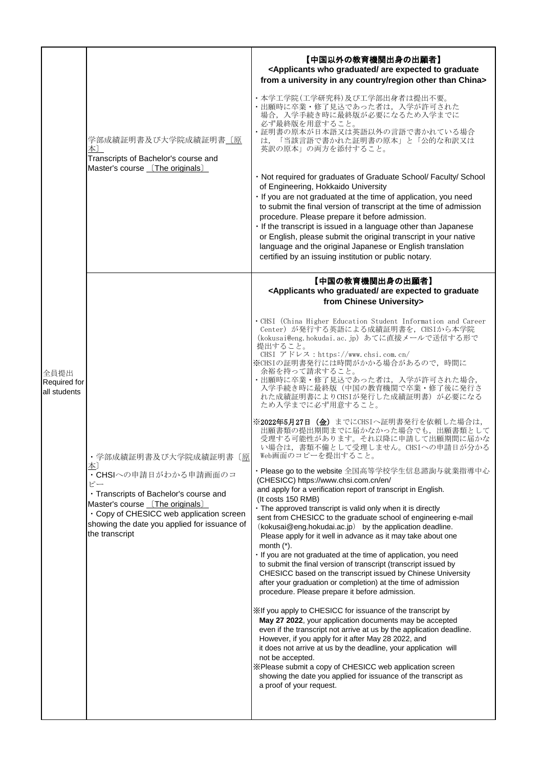|                                      | 学部成績証明書及び大学院成績証明書〔原<br>本〕<br>Transcripts of Bachelor's course and<br>Master's course [The originals]                                                                                                                                                 | 【中国以外の教育機関出身の出願者】<br><applicants are="" expected="" graduate<br="" graduated="" to="" who="">from a university in any country/region other than China&gt;<br/>・本学工学院(工学研究科)及び工学部出身者は提出不要。<br/>・出願時に卒業・修了見込であった者は、入学が許可された<br/>場合、入学手続き時に最終版が必要になるため入学までに<br/>必ず最終版を用意すること。<br/>・証明書の原本が日本語又は英語以外の言語で書かれている場合<br/>「当該言語で書かれた証明書の原本」と「公的な和訳又は<br/>は.<br/>英訳の原本」の両方を添付すること。<br/>· Not required for graduates of Graduate School/ Faculty/ School<br/>of Engineering, Hokkaido University<br/>· If you are not graduated at the time of application, you need<br/>to submit the final version of transcript at the time of admission<br/>procedure. Please prepare it before admission.<br/>. If the transcript is issued in a language other than Japanese<br/>or English, please submit the original transcript in your native<br/>language and the original Japanese or English translation</applicants>                                                                                                                                                                                                                                                                                                                                                                                                                                                                                                                                                                                                                                                                                                                                                                                                                                                                                                                                                                                                                                                                                                                         |
|--------------------------------------|------------------------------------------------------------------------------------------------------------------------------------------------------------------------------------------------------------------------------------------------------|---------------------------------------------------------------------------------------------------------------------------------------------------------------------------------------------------------------------------------------------------------------------------------------------------------------------------------------------------------------------------------------------------------------------------------------------------------------------------------------------------------------------------------------------------------------------------------------------------------------------------------------------------------------------------------------------------------------------------------------------------------------------------------------------------------------------------------------------------------------------------------------------------------------------------------------------------------------------------------------------------------------------------------------------------------------------------------------------------------------------------------------------------------------------------------------------------------------------------------------------------------------------------------------------------------------------------------------------------------------------------------------------------------------------------------------------------------------------------------------------------------------------------------------------------------------------------------------------------------------------------------------------------------------------------------------------------------------------------------------------------------------------------------------------------------------------------------------------------------------------------------------------------------------------------------------------------------------------------------------------------------------------------------|
|                                      |                                                                                                                                                                                                                                                      | certified by an issuing institution or public notary.<br>【中国の教育機関出身の出願者】                                                                                                                                                                                                                                                                                                                                                                                                                                                                                                                                                                                                                                                                                                                                                                                                                                                                                                                                                                                                                                                                                                                                                                                                                                                                                                                                                                                                                                                                                                                                                                                                                                                                                                                                                                                                                                                                                                                                                        |
| 全員提出<br>Required for<br>all students | ・学部成績証明書及び大学院成績証明書〔原<br>本)<br>· CHSIへの申請日がわかる申請画面のコ<br>ピー<br>· Transcripts of Bachelor's course and<br>Master's course [The originals]<br>· Copy of CHESICC web application screen<br>showing the date you applied for issuance of<br>the transcript | <applicants are="" expected="" graduate<br="" graduated="" to="" who="">from Chinese University&gt;<br/>. CHSI (China Higher Education Student Information and Career<br/>Center) が発行する英語による成績証明書を、CHSIから本学院<br/>(kokusai@eng.hokudai.ac.jp) あてに直接メールで送信する形で<br/>提出すること。<br/>CHSI アドレス: https://www.chsi.com.cn/<br/>※CHSIの証明書発行には時間がかかる場合があるので、時間に<br/>余裕を持って請求すること。<br/>・出願時に卒業・修了見込であった者は、入学が許可された場合,<br/>入学手続き時に最終版(中国の教育機関で卒業・修了後に発行さ<br/>れた成績証明書によりCHSIが発行した成績証明書)が必要になる<br/>ため入学までに必ず用意すること。<br/>※2022年5月27日 (金) までにCHSIへ証明書発行を依頼した場合は,<br/>出願書類の提出期間までに届かなかった場合でも、出願書類として<br/>受理する可能性があります。それ以降に申請して出願期間に届かな<br/>い場合は、書類不備として受理しません。CHSIへの申請日が分かる<br/>Web画面のコピーを提出すること。<br/>· Please go to the website 全国高等学校学生信息諮詢与就業指導中心<br/>(CHESICC) https://www.chsi.com.cn/en/<br/>and apply for a verification report of transcript in English.<br/>(It costs 150 RMB)<br/>· The approved transcript is valid only when it is directly<br/>sent from CHESICC to the graduate school of engineering e-mail<br/>(kokusai@eng.hokudai.ac.jp) by the application deadline.<br/>Please apply for it well in advance as it may take about one<br/>month <math>(*)</math>.<br/>· If you are not graduated at the time of application, you need<br/>to submit the final version of transcript (transcript issued by<br/>CHESICC based on the transcript issued by Chinese University<br/>after your graduation or completion) at the time of admission<br/>procedure. Please prepare it before admission.<br/>X If you apply to CHESICC for issuance of the transcript by<br/>May 27 2022, your application documents may be accepted<br/>even if the transcript not arrive at us by the application deadline.<br/>However, if you apply for it after May 28 2022, and<br/>it does not arrive at us by the deadline, your application will<br/>not be accepted.<br/>※Please submit a copy of CHESICC web application screen<br/>showing the date you applied for issuance of the transcript as<br/>a proof of your request.</applicants> |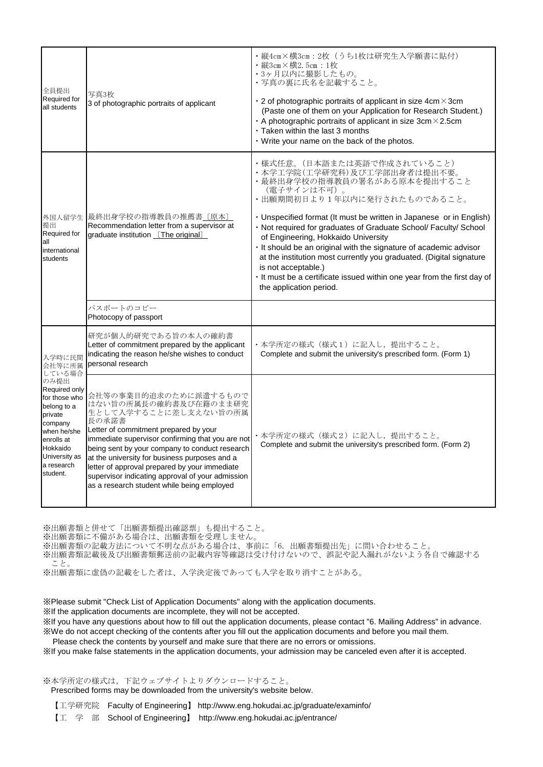| 全員提出<br>Required for<br>all students                                                                                                                                                          | 写真3枚<br>3 of photographic portraits of applicant                                                                                                                                                                                                                                                                                                                                                                                    | ・縦4cm×横3cm: 2枚 (うち1枚は研究生入学願書に貼付)<br>·縦3cm×横2.5cm:1枚<br>・3ヶ月以内に撮影したもの。<br>・写真の裏に氏名を記載すること。<br>$\cdot$ 2 of photographic portraits of applicant in size 4cm $\times$ 3cm<br>(Paste one of them on your Application for Research Student.)<br>A photographic portraits of applicant in size $3cm \times 2.5cm$<br>$\cdot$ Taken within the last 3 months<br>. Write your name on the back of the photos.                                                                                                                                                                                              |
|-----------------------------------------------------------------------------------------------------------------------------------------------------------------------------------------------|-------------------------------------------------------------------------------------------------------------------------------------------------------------------------------------------------------------------------------------------------------------------------------------------------------------------------------------------------------------------------------------------------------------------------------------|----------------------------------------------------------------------------------------------------------------------------------------------------------------------------------------------------------------------------------------------------------------------------------------------------------------------------------------------------------------------------------------------------------------------------------------------------------------------------------------------------------------------------------------------------------------------------------------------------|
| 提出<br>Required for<br>all<br>international<br>students                                                                                                                                        | 外国人留学生 最終出身学校の指導教員の推薦書 [原本]<br>Recommendation letter from a supervisor at<br>graduate institution [The original]                                                                                                                                                                                                                                                                                                                    | ・様式任意。(日本語または英語で作成されていること)<br>・本学工学院(工学研究科)及び工学部出身者は提出不要。<br>・最終出身学校の指導教員の署名がある原本を提出すること<br>(電子サインは不可)。<br>• 出願期間初日より1年以内に発行されたものであること。<br>· Unspecified format (It must be written in Japanese or in English)<br>· Not required for graduates of Graduate School/ Faculty/ School<br>of Engineering, Hokkaido University<br>. It should be an original with the signature of academic advisor<br>at the institution most currently you graduated. (Digital signature<br>is not acceptable.)<br>. It must be a certificate issued within one year from the first day of<br>the application period. |
|                                                                                                                                                                                               | パスポートのコピー<br>Photocopy of passport                                                                                                                                                                                                                                                                                                                                                                                                  |                                                                                                                                                                                                                                                                                                                                                                                                                                                                                                                                                                                                    |
| 入学時に民間<br>会社等に所属<br>している場合<br>のみ提出<br>Required only<br>for those who<br>belong to a<br>private<br>company<br>when he/she<br>enrolls at<br>Hokkaido<br>University as<br>a research<br>student. | 研究が個人的研究である旨の本人の確約書<br>Letter of commitment prepared by the applicant<br>indicating the reason he/she wishes to conduct<br>personal research                                                                                                                                                                                                                                                                                        | ・本学所定の様式(様式1)に記入し,提出すること。<br>Complete and submit the university's prescribed form. (Form 1)                                                                                                                                                                                                                                                                                                                                                                                                                                                                                                        |
|                                                                                                                                                                                               | 会社等の事業目的追求のために派遣するもので<br>はない旨の所属長の確約書及び在籍のまま研究<br>生として入学することに差し支えない旨の所属<br>長の承諾書<br>Letter of commitment prepared by your<br>immediate supervisor confirming that you are not<br>being sent by your company to conduct research<br>at the university for business purposes and a<br>letter of approval prepared by your immediate<br>supervisor indicating approval of your admission<br>as a research student while being employed | ・本学所定の様式(様式2)に記入し、提出すること。<br>Complete and submit the university's prescribed form. (Form 2)                                                                                                                                                                                                                                                                                                                                                                                                                                                                                                        |

※出願書類と併せて「出願書類提出確認票」も提出すること。

※出願書類に不備がある場合は、出願書類を受理しません。

※出願書類の記載方法について不明な点がある場合は、事前に「6.出願書類提出先」に問い合わせること。

※出願書類記載後及び出願書類郵送前の記載内容等確認は受け付けないので、誤記や記入漏れがないよう各自で確認する こと。

※出願書類に虚偽の記載をした者は、入学決定後であっても入学を取り消すことがある。

※Please submit "Check List of Application Documents" along with the application documents.

※If the application documents are incomplete, they will not be accepted.

※If you have any questions about how to fill out the application documents, please contact "6. Mailing Address" in advance. ※We do not accept checking of the contents after you fill out the application documents and before you mail them.

Please check the contents by yourself and make sure that there are no errors or omissions.

※If you make false statements in the application documents, your admission may be canceled even after it is accepted.

# ※本学所定の様式は,下記ウェブサイトよりダウンロードすること。

Prescribed forms may be downloaded from the university's website below.

 【工学研究院 Faculty of Engineering】 http://www.eng.hokudai.ac.jp/graduate/examinfo/ 【工 学 部 School of Engineering】 http://www.eng.hokudai.ac.jp/entrance/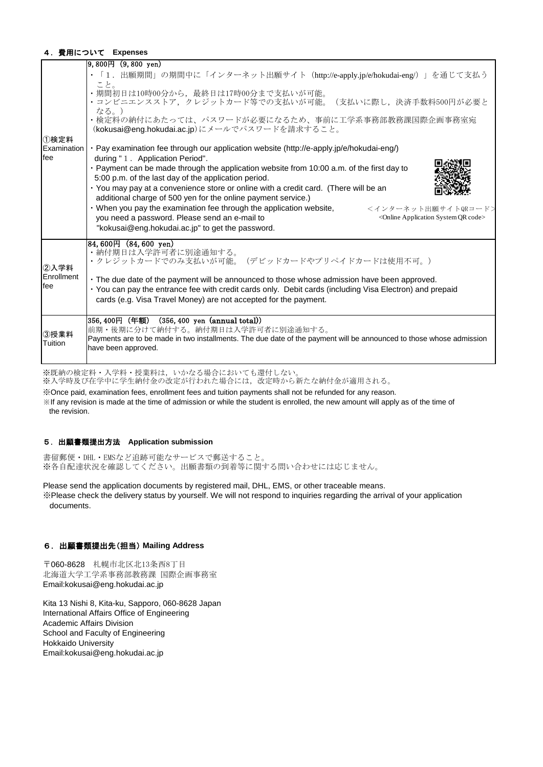#### 4.費用について **Expenses**

|                     | $ 9,800 \text{H} (9,800 \text{ yen})$                                                                                                                                                                             |
|---------------------|-------------------------------------------------------------------------------------------------------------------------------------------------------------------------------------------------------------------|
|                     | ・「1. 出願期間」の期間中に「インターネット出願サイト (http://e-apply.jp/e/hokudai-eng/)」を通じて支払う                                                                                                                                           |
|                     | こと。<br>・期間初日は10時00分から、最終日は17時00分まで支払いが可能。<br>・コンビニエンスストア,クレジットカード等での支払いが可能。<br>(支払いに際し,決済手数料500円が必要と<br>なる。)<br>・検定料の納付にあたっては、パスワードが必要になるため、事前に工学系事務部教務課国際企画事務室宛<br>(kokusai@eng.hokudai.ac.jp)にメールでパスワードを請求すること。 |
| ①検定料<br>Examination | · Pay examination fee through our application website (http://e-apply.jp/e/hokudai-eng/)                                                                                                                          |
| fee                 | during "1. Application Period".                                                                                                                                                                                   |
|                     | · Payment can be made through the application website from 10:00 a.m. of the first day to<br>5:00 p.m. of the last day of the application period.                                                                 |
|                     | · You may pay at a convenience store or online with a credit card. (There will be an<br>additional charge of 500 yen for the online payment service.)                                                             |
|                     | • When you pay the examination fee through the application website,<br><インターネット出願サイトQRコード><br>you need a password. Please send an e-mail to<br><online application="" code="" qr="" system=""></online>           |
|                     | "kokusai@eng.hokudai.ac.jp" to get the password.                                                                                                                                                                  |
|                     | $84,600H$ $(84,600 \text{ yen})$<br>・納付期日は入学許可者に別途通知する。                                                                                                                                                           |
| ②入学料                | ・クレジットカードでのみ支払いが可能。(デビッドカードやプリペイドカードは使用不可。)                                                                                                                                                                       |
| Enrollment          | • The due date of the payment will be announced to those whose admission have been approved.                                                                                                                      |
| fee                 | · You can pay the entrance fee with credit cards only. Debit cards (including Visa Electron) and prepaid<br>cards (e.g. Visa Travel Money) are not accepted for the payment.                                      |
|                     |                                                                                                                                                                                                                   |
|                     | 356,400円(年額)(356,400 yen (annual total))<br>前期・後期に分けて納付する。納付期日は入学許可者に別途通知する。                                                                                                                                      |
| ③授業料                | Payments are to be made in two installments. The due date of the payment will be announced to those whose admission                                                                                               |
| Tuition             | have been approved.                                                                                                                                                                                               |

※既納の検定料・入学料・授業料は,いかなる場合においても還付しない。

※入学時及び在学中に学生納付金の改定が行われた場合には、改定時から新たな納付金が適用される。

※Once paid, examination fees, enrollment fees and tuition payments shall not be refunded for any reason. ※If any revision is made at the time of admission or while the student is enrolled, the new amount will apply as of the time of the revision.

#### 5.出願書類提出方法 **Application submission**

書留郵便・DHL・EMSなど追跡可能なサービスで郵送すること。 ※各自配達状況を確認してください。出願書類の到着等に関する問い合わせには応じません。

Please send the application documents by registered mail, DHL, EMS, or other traceable means.

※Please check the delivery status by yourself. We will not respond to inquiries regarding the arrival of your application documents.

## 6.出願書類提出先(担当) **Mailing Address**

〒060-8628 札幌市北区北13条西8丁目 北海道大学工学系事務部教務課 国際企画事務室 Email:kokusai@eng.hokudai.ac.jp

Kita 13 Nishi 8, Kita-ku, Sapporo, 060-8628 Japan International Affairs Office of Engineering Academic Affairs Division School and Faculty of Engineering Hokkaido University Email:kokusai@eng.hokudai.ac.jp